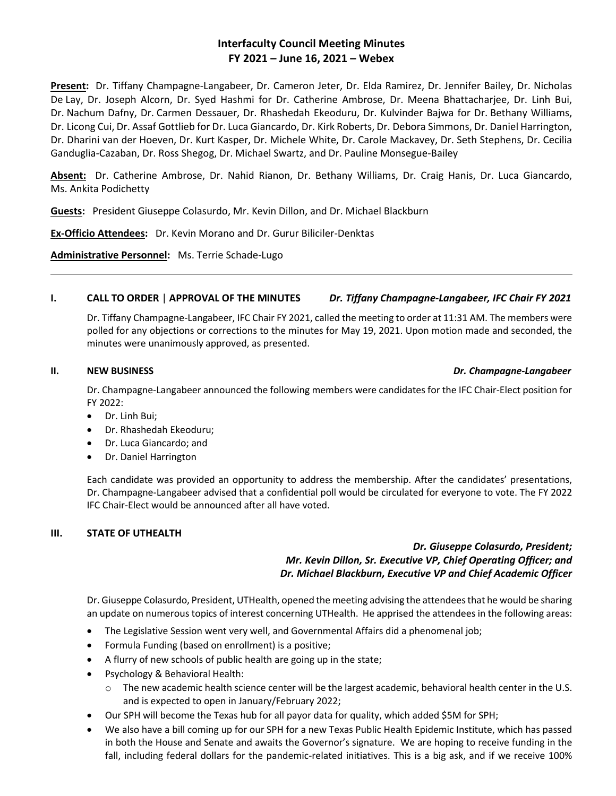# **Interfaculty Council Meeting Minutes FY 2021 – June 16, 2021 – Webex**

**Present:** Dr. Tiffany Champagne-Langabeer, Dr. Cameron Jeter, Dr. Elda Ramirez, Dr. Jennifer Bailey, Dr. Nicholas De Lay, Dr. Joseph Alcorn, Dr. Syed Hashmi for Dr. Catherine Ambrose, Dr. Meena Bhattacharjee, Dr. Linh Bui, Dr. Nachum Dafny, Dr. Carmen Dessauer, Dr. Rhashedah Ekeoduru, Dr. Kulvinder Bajwa for Dr. Bethany Williams, Dr. Licong Cui, Dr. Assaf Gottlieb for Dr. Luca Giancardo, Dr. Kirk Roberts, Dr. Debora Simmons, Dr. Daniel Harrington, Dr. Dharini van der Hoeven, Dr. Kurt Kasper, Dr. Michele White, Dr. Carole Mackavey, Dr. Seth Stephens, Dr. Cecilia Ganduglia-Cazaban, Dr. Ross Shegog, Dr. Michael Swartz, and Dr. Pauline Monsegue-Bailey

**Absent:** Dr. Catherine Ambrose, Dr. Nahid Rianon, Dr. Bethany Williams, Dr. Craig Hanis, Dr. Luca Giancardo, Ms. Ankita Podichetty

**Guests:** President Giuseppe Colasurdo, Mr. Kevin Dillon, and Dr. Michael Blackburn

**Ex-Officio Attendees:** Dr. Kevin Morano and Dr. Gurur Biliciler-Denktas

**Administrative Personnel:** Ms. Terrie Schade-Lugo

## **I. CALL TO ORDER** | **APPROVAL OF THE MINUTES** *Dr. Tiffany Champagne-Langabeer, IFC Chair FY 2021*

Dr. Tiffany Champagne-Langabeer, IFC Chair FY 2021, called the meeting to order at 11:31 AM. The members were polled for any objections or corrections to the minutes for May 19, 2021. Upon motion made and seconded, the minutes were unanimously approved, as presented.

## **II. NEW BUSINESS** *Dr. Champagne-Langabeer*

Dr. Champagne-Langabeer announced the following members were candidates for the IFC Chair-Elect position for FY 2022:

- Dr. Linh Bui;
- Dr. Rhashedah Ekeoduru;
- Dr. Luca Giancardo; and
- Dr. Daniel Harrington

Each candidate was provided an opportunity to address the membership. After the candidates' presentations, Dr. Champagne-Langabeer advised that a confidential poll would be circulated for everyone to vote. The FY 2022 IFC Chair-Elect would be announced after all have voted.

## **III. STATE OF UTHEALTH**

## *Dr. Giuseppe Colasurdo, President; Mr. Kevin Dillon, Sr. Executive VP, Chief Operating Officer; and Dr. Michael Blackburn, Executive VP and Chief Academic Officer*

Dr. Giuseppe Colasurdo, President, UTHealth, opened the meeting advising the attendees that he would be sharing an update on numerous topics of interest concerning UTHealth. He apprised the attendees in the following areas:

- The Legislative Session went very well, and Governmental Affairs did a phenomenal job;
- Formula Funding (based on enrollment) is a positive;
- A flurry of new schools of public health are going up in the state;
- Psychology & Behavioral Health:
	- o The new academic health science center will be the largest academic, behavioral health center in the U.S. and is expected to open in January/February 2022;
- Our SPH will become the Texas hub for all payor data for quality, which added \$5M for SPH;
- We also have a bill coming up for our SPH for a new Texas Public Health Epidemic Institute, which has passed in both the House and Senate and awaits the Governor's signature. We are hoping to receive funding in the fall, including federal dollars for the pandemic-related initiatives. This is a big ask, and if we receive 100%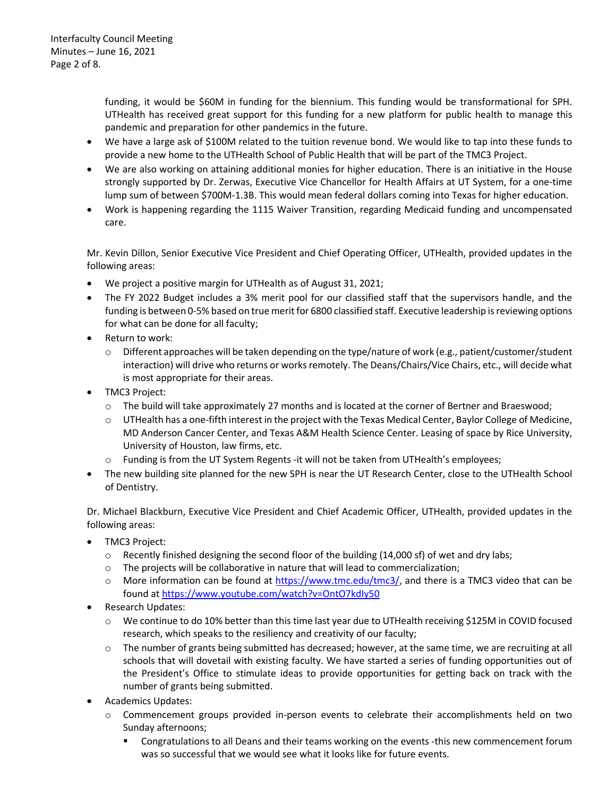funding, it would be \$60M in funding for the biennium. This funding would be transformational for SPH. UTHealth has received great support for this funding for a new platform for public health to manage this pandemic and preparation for other pandemics in the future.

- We have a large ask of \$100M related to the tuition revenue bond. We would like to tap into these funds to provide a new home to the UTHealth School of Public Health that will be part of the TMC3 Project.
- We are also working on attaining additional monies for higher education. There is an initiative in the House strongly supported by Dr. Zerwas, Executive Vice Chancellor for Health Affairs at UT System, for a one-time lump sum of between \$700M-1.3B. This would mean federal dollars coming into Texas for higher education.
- Work is happening regarding the 1115 Waiver Transition, regarding Medicaid funding and uncompensated care.

Mr. Kevin Dillon, Senior Executive Vice President and Chief Operating Officer, UTHealth, provided updates in the following areas:

- We project a positive margin for UTHealth as of August 31, 2021;
- The FY 2022 Budget includes a 3% merit pool for our classified staff that the supervisors handle, and the funding is between 0-5% based on true merit for 6800 classified staff. Executive leadership is reviewing options for what can be done for all faculty;
- Return to work:
	- $\circ$  Different approaches will be taken depending on the type/nature of work (e.g., patient/customer/student interaction) will drive who returns or works remotely. The Deans/Chairs/Vice Chairs, etc., will decide what is most appropriate for their areas.
- TMC3 Project:
	- $\circ$  The build will take approximately 27 months and is located at the corner of Bertner and Braeswood;
	- o UTHealth has a one-fifth interest in the project with the Texas Medical Center, Baylor College of Medicine, MD Anderson Cancer Center, and Texas A&M Health Science Center. Leasing of space by Rice University, University of Houston, law firms, etc.
	- o Funding is from the UT System Regents -it will not be taken from UTHealth's employees;
- The new building site planned for the new SPH is near the UT Research Center, close to the UTHealth School of Dentistry.

Dr. Michael Blackburn, Executive Vice President and Chief Academic Officer, UTHealth, provided updates in the following areas:

- TMC3 Project:
	- $\circ$  Recently finished designing the second floor of the building (14,000 sf) of wet and dry labs;
	- $\circ$  The projects will be collaborative in nature that will lead to commercialization;
	- $\circ$  More information can be found at [https://www.tmc.edu/tmc3/,](https://www.tmc.edu/tmc3/) and there is a TMC3 video that can be found at<https://www.youtube.com/watch?v=OntO7kdIy50>
- Research Updates:
	- o We continue to do 10% better than this time last year due to UTHealth receiving \$125M in COVID focused research, which speaks to the resiliency and creativity of our faculty;
	- $\circ$  The number of grants being submitted has decreased; however, at the same time, we are recruiting at all schools that will dovetail with existing faculty. We have started a series of funding opportunities out of the President's Office to stimulate ideas to provide opportunities for getting back on track with the number of grants being submitted.
- Academics Updates:
	- o Commencement groups provided in-person events to celebrate their accomplishments held on two Sunday afternoons;
		- Congratulations to all Deans and their teams working on the events -this new commencement forum was so successful that we would see what it looks like for future events.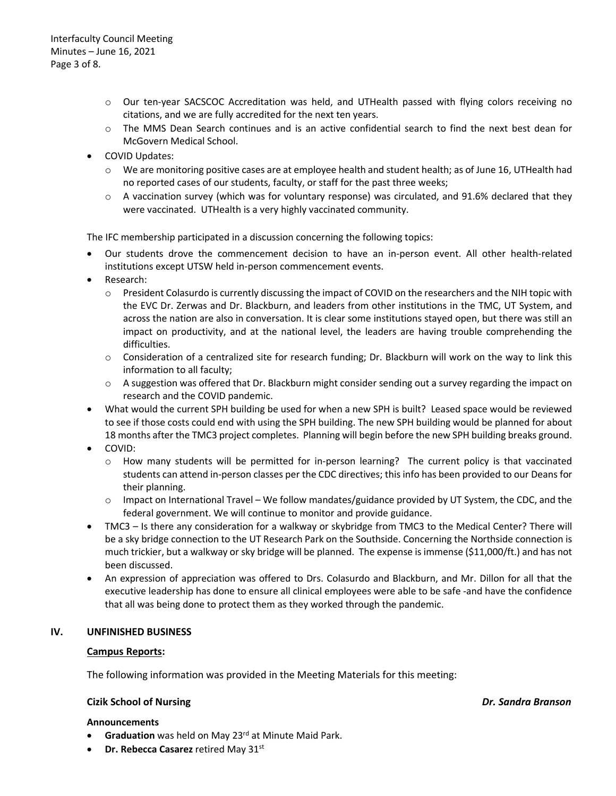- o Our ten-year SACSCOC Accreditation was held, and UTHealth passed with flying colors receiving no citations, and we are fully accredited for the next ten years.
- o The MMS Dean Search continues and is an active confidential search to find the next best dean for McGovern Medical School.
- COVID Updates:
	- o We are monitoring positive cases are at employee health and student health; as of June 16, UTHealth had no reported cases of our students, faculty, or staff for the past three weeks;
	- $\circ$  A vaccination survey (which was for voluntary response) was circulated, and 91.6% declared that they were vaccinated. UTHealth is a very highly vaccinated community.

The IFC membership participated in a discussion concerning the following topics:

- Our students drove the commencement decision to have an in-person event. All other health-related institutions except UTSW held in-person commencement events.
- Research:
	- o President Colasurdo is currently discussing the impact of COVID on the researchers and the NIH topic with the EVC Dr. Zerwas and Dr. Blackburn, and leaders from other institutions in the TMC, UT System, and across the nation are also in conversation. It is clear some institutions stayed open, but there was still an impact on productivity, and at the national level, the leaders are having trouble comprehending the difficulties.
	- $\circ$  Consideration of a centralized site for research funding; Dr. Blackburn will work on the way to link this information to all faculty;
	- $\circ$  A suggestion was offered that Dr. Blackburn might consider sending out a survey regarding the impact on research and the COVID pandemic.
- What would the current SPH building be used for when a new SPH is built? Leased space would be reviewed to see if those costs could end with using the SPH building. The new SPH building would be planned for about 18 months after the TMC3 project completes. Planning will begin before the new SPH building breaks ground.
- COVID:
	- o How many students will be permitted for in-person learning? The current policy is that vaccinated students can attend in-person classes per the CDC directives; this info has been provided to our Deans for their planning.
	- o Impact on International Travel We follow mandates/guidance provided by UT System, the CDC, and the federal government. We will continue to monitor and provide guidance.
- TMC3 Is there any consideration for a walkway or skybridge from TMC3 to the Medical Center? There will be a sky bridge connection to the UT Research Park on the Southside. Concerning the Northside connection is much trickier, but a walkway or sky bridge will be planned. The expense is immense (\$11,000/ft.) and has not been discussed.
- An expression of appreciation was offered to Drs. Colasurdo and Blackburn, and Mr. Dillon for all that the executive leadership has done to ensure all clinical employees were able to be safe -and have the confidence that all was being done to protect them as they worked through the pandemic.

### **IV. UNFINISHED BUSINESS**

### **Campus Reports:**

The following information was provided in the Meeting Materials for this meeting:

## **Cizik School of Nursing** *Dr. Sandra Branson*

#### **Announcements**

- Graduation was held on May 23<sup>rd</sup> at Minute Maid Park.
- **Dr. Rebecca Casarez** retired May 31st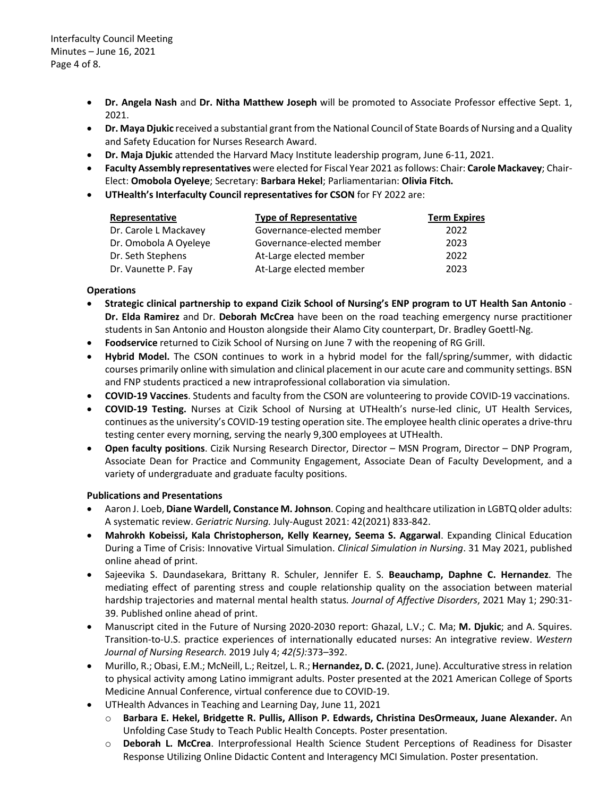Interfaculty Council Meeting Minutes – June 16, 2021 Page 4 of 8.

- **Dr. Angela Nash** and **Dr. Nitha Matthew Joseph** will be promoted to Associate Professor effective Sept. 1, 2021.
- **Dr. Maya Djukic** received a substantial grant from the National Council of State Boards of Nursing and a Quality and Safety Education for Nurses Research Award.
- **Dr. Maja Djukic** attended the Harvard Macy Institute leadership program, June 6-11, 2021.
- **Faculty Assembly representatives** were elected for Fiscal Year 2021 as follows: Chair: **Carole Mackavey**; Chair-Elect: **Omobola Oyeleye**; Secretary: **Barbara Hekel**; Parliamentarian: **Olivia Fitch.**
- **UTHealth's Interfaculty Council representatives for CSON** for FY 2022 are:

| Representative        | <b>Type of Representative</b> | <b>Term Expires</b> |
|-----------------------|-------------------------------|---------------------|
| Dr. Carole L Mackavey | Governance-elected member     | 2022                |
| Dr. Omobola A Oyeleye | Governance-elected member     | 2023                |
| Dr. Seth Stephens     | At-Large elected member       | 2022                |
| Dr. Vaunette P. Fay   | At-Large elected member       | 2023                |

## **Operations**

- **Strategic clinical partnership to expand Cizik School of Nursing's ENP program to UT Health San Antonio Dr. Elda Ramirez** and Dr. **Deborah McCrea** have been on the road teaching emergency nurse practitioner students in San Antonio and Houston alongside their Alamo City counterpart, Dr. Bradley Goettl-Ng.
- **Foodservice** returned to Cizik School of Nursing on June 7 with the reopening of RG Grill.
- **Hybrid Model.** The CSON continues to work in a hybrid model for the fall/spring/summer, with didactic courses primarily online with simulation and clinical placement in our acute care and community settings. BSN and FNP students practiced a new intraprofessional collaboration via simulation.
- **COVID-19 Vaccines**. Students and faculty from the CSON are volunteering to provide COVID-19 vaccinations.
- **COVID-19 Testing.** Nurses at Cizik School of Nursing at UTHealth's nurse-led clinic, UT Health Services, continues as the university's COVID-19 testing operation site. The employee health clinic operates a drive-thru testing center every morning, serving the nearly 9,300 employees at UTHealth.
- **Open faculty positions**. Cizik Nursing Research Director, Director MSN Program, Director DNP Program, Associate Dean for Practice and Community Engagement, Associate Dean of Faculty Development, and a variety of undergraduate and graduate faculty positions.

### **Publications and Presentations**

- Aaron J. Loeb, **Diane Wardell, Constance M. Johnson**. Coping and healthcare utilization in LGBTQ older adults: A systematic review. *Geriatric Nursing.* July-August 2021: 42(2021) 833-842.
- **Mahrokh Kobeissi, Kala Christopherson, Kelly Kearney, Seema S. Aggarwal**. Expanding Clinical Education During a Time of Crisis: Innovative Virtual Simulation. *Clinical Simulation in Nursing*. 31 May 2021, published online ahead of print.
- Sajeevika S. Daundasekara, Brittany R. Schuler, Jennifer E. S. **Beauchamp, Daphne C. Hernandez**. The mediating effect of parenting stress and couple relationship quality on the association between material hardship trajectories and maternal mental health status*. Journal of Affective Disorders*, 2021 May 1; 290:31- 39. Published online ahead of print.
- Manuscript cited in the Future of Nursing 2020-2030 report: Ghazal, L.V.; C. Ma; **M. Djukic**; and A. Squires. Transition-to-U.S. practice experiences of internationally educated nurses: An integrative review. *Western Journal of Nursing Research.* 2019 July 4; *42(5):*373–392.
- Murillo, R.; Obasi, E.M.; McNeill, L.; Reitzel, L. R.; **Hernandez, D. C.** (2021, June). Acculturative stress in relation to physical activity among Latino immigrant adults. Poster presented at the 2021 American College of Sports Medicine Annual Conference, virtual conference due to COVID-19.
- UTHealth Advances in Teaching and Learning Day, June 11, 2021
	- o **Barbara E. Hekel, Bridgette R. Pullis, Allison P. Edwards, Christina DesOrmeaux, Juane Alexander.** An Unfolding Case Study to Teach Public Health Concepts. Poster presentation.
	- o **Deborah L. McCrea**. Interprofessional Health Science Student Perceptions of Readiness for Disaster Response Utilizing Online Didactic Content and Interagency MCI Simulation. Poster presentation.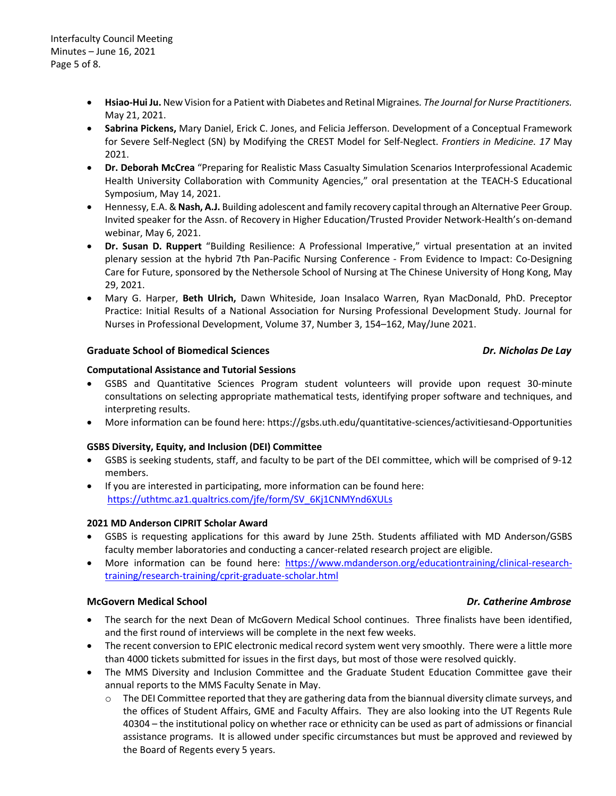- **Hsiao-Hui Ju.** New Vision for a Patient with Diabetes and Retinal Migraines*. The Journal for Nurse Practitioners.* May 21, 2021.
- **Sabrina Pickens,** Mary Daniel, Erick C. Jones, and Felicia Jefferson. Development of a Conceptual Framework for Severe Self-Neglect (SN) by Modifying the CREST Model for Self-Neglect. *Frontiers in Medicine. 17* May 2021.
- **Dr. Deborah McCrea** "Preparing for Realistic Mass Casualty Simulation Scenarios Interprofessional Academic Health University Collaboration with Community Agencies," oral presentation at the TEACH-S Educational Symposium, May 14, 2021.
- Hennessy, E.A. & **Nash, A.J.** Building adolescent and family recovery capital through an Alternative Peer Group. Invited speaker for the Assn. of Recovery in Higher Education/Trusted Provider Network-Health's on-demand webinar, May 6, 2021.
- **Dr. Susan D. Ruppert** "Building Resilience: A Professional Imperative," virtual presentation at an invited plenary session at the hybrid 7th Pan-Pacific Nursing Conference - From Evidence to Impact: Co-Designing Care for Future, sponsored by the Nethersole School of Nursing at The Chinese University of Hong Kong, May 29, 2021.
- Mary G. Harper, **Beth Ulrich,** Dawn Whiteside, Joan Insalaco Warren, Ryan MacDonald, PhD. Preceptor Practice: Initial Results of a National Association for Nursing Professional Development Study. Journal for Nurses in Professional Development, Volume 37, Number 3, 154–162, May/June 2021.

## **Graduate School of Biomedical Sciences** *Dr. Nicholas De Lay*

## **Computational Assistance and Tutorial Sessions**

- GSBS and Quantitative Sciences Program student volunteers will provide upon request 30-minute consultations on selecting appropriate mathematical tests, identifying proper software and techniques, and interpreting results.
- More information can be found here: https://gsbs.uth.edu/quantitative-sciences/activitiesand-Opportunities

## **GSBS Diversity, Equity, and Inclusion (DEI) Committee**

- GSBS is seeking students, staff, and faculty to be part of the DEI committee, which will be comprised of 9-12 members.
- If you are interested in participating, more information can be found here: [https://uthtmc.az1.qualtrics.com/jfe/form/SV\\_6Kj1CNMYnd6XULs](https://uthtmc.az1.qualtrics.com/jfe/form/SV_6Kj1CNMYnd6XULs)

### **2021 MD Anderson CIPRIT Scholar Award**

- GSBS is requesting applications for this award by June 25th. Students affiliated with MD Anderson/GSBS faculty member laboratories and conducting a cancer-related research project are eligible.
- More information can be found here: [https://www.mdanderson.org/educationtraining/clinical-research](https://www.mdanderson.org/educationtraining/clinical-research-training/research-training/cprit-graduate-scholar.html)[training/research-training/cprit-graduate-scholar.html](https://www.mdanderson.org/educationtraining/clinical-research-training/research-training/cprit-graduate-scholar.html)

### **McGovern Medical School** *Dr. Catherine Ambrose*

- The search for the next Dean of McGovern Medical School continues. Three finalists have been identified, and the first round of interviews will be complete in the next few weeks.
- The recent conversion to EPIC electronic medical record system went very smoothly. There were a little more than 4000 tickets submitted for issues in the first days, but most of those were resolved quickly.
- The MMS Diversity and Inclusion Committee and the Graduate Student Education Committee gave their annual reports to the MMS Faculty Senate in May.
	- $\circ$  The DEI Committee reported that they are gathering data from the biannual diversity climate surveys, and the offices of Student Affairs, GME and Faculty Affairs. They are also looking into the UT Regents Rule 40304 – the institutional policy on whether race or ethnicity can be used as part of admissions or financial assistance programs. It is allowed under specific circumstances but must be approved and reviewed by the Board of Regents every 5 years.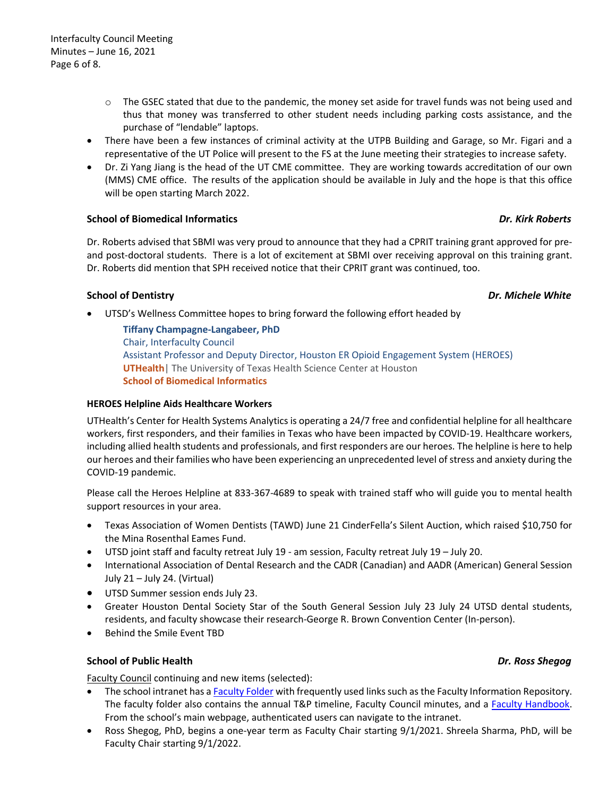- $\circ$  The GSEC stated that due to the pandemic, the money set aside for travel funds was not being used and thus that money was transferred to other student needs including parking costs assistance, and the purchase of "lendable" laptops.
- There have been a few instances of criminal activity at the UTPB Building and Garage, so Mr. Figari and a representative of the UT Police will present to the FS at the June meeting their strategies to increase safety.
- Dr. Zi Yang Jiang is the head of the UT CME committee. They are working towards accreditation of our own (MMS) CME office. The results of the application should be available in July and the hope is that this office will be open starting March 2022.

## **School of Biomedical Informatics** *Dr. Kirk Roberts*

Dr. Roberts advised that SBMI was very proud to announce that they had a CPRIT training grant approved for preand post-doctoral students. There is a lot of excitement at SBMI over receiving approval on this training grant. Dr. Roberts did mention that SPH received notice that their CPRIT grant was continued, too.

## **School of Dentistry** *Dr. Michele White*

• UTSD's Wellness Committee hopes to bring forward the following effort headed by

**Tiffany Champagne-Langabeer, PhD** Chair, Interfaculty Council Assistant Professor and Deputy Director, Houston ER Opioid Engagement System (HEROES) **UTHealth**| The University of Texas Health Science Center at Houston **School of Biomedical Informatics**

### **HEROES Helpline Aids Healthcare Workers**

UTHealth's Center for Health Systems Analytics is operating a 24/7 free and confidential helpline for all healthcare workers, first responders, and their families in Texas who have been impacted by COVID-19. Healthcare workers, including allied health students and professionals, and first responders are our heroes. The helpline is here to help our heroes and their families who have been experiencing an unprecedented level of stress and anxiety during the COVID-19 pandemic.

Please call the Heroes Helpline at 833-367-4689 to speak with trained staff who will guide you to mental health support resources in your area.

- Texas Association of Women Dentists (TAWD) June 21 CinderFella's Silent Auction, which raised \$10,750 for the Mina Rosenthal Eames Fund.
- UTSD joint staff and faculty retreat July 19 am session, Faculty retreat July 19 July 20.
- International Association of Dental Research and the CADR (Canadian) and AADR (American) General Session July 21 – July 24. (Virtual)
- UTSD Summer session ends July 23.
- Greater Houston Dental Society Star of the South General Session July 23 July 24 UTSD dental students, residents, and faculty showcase their research-George R. Brown Convention Center (In-person).
- Behind the Smile Event TBD

### **School of Public Health** *Dr. Ross Shegog*

Faculty Council continuing and new items (selected):

- The school intranet has [a Faculty Folder](https://inside.uth.edu/sph/faculty/) with frequently used links such as the Faculty Information Repository. The faculty folder also contains the annual T&P timeline, Faculty Council minutes, and a [Faculty Handbook.](https://inside.uth.edu/sph/faculty/faculty-handbook/) From the school's main webpage, authenticated users can navigate to the intranet.
- Ross Shegog, PhD, begins a one-year term as Faculty Chair starting 9/1/2021. Shreela Sharma, PhD, will be Faculty Chair starting 9/1/2022.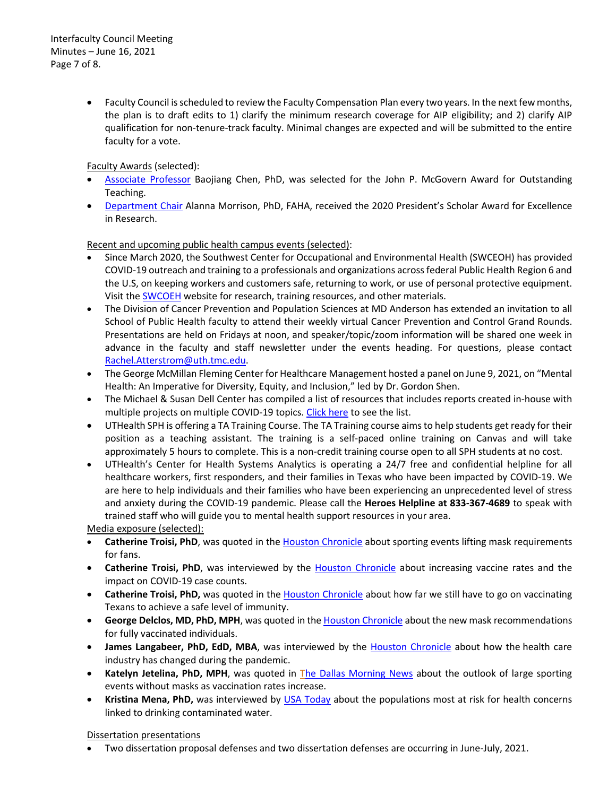• Faculty Council is scheduled to review the Faculty Compensation Plan every two years. In the next few months, the plan is to draft edits to 1) clarify the minimum research coverage for AIP eligibility; and 2) clarify AIP qualification for non-tenure-track faculty. Minimal changes are expected and will be submitted to the entire faculty for a vote.

Faculty Awards (selected):

- [Associate Professor](https://sph.uth.edu/news/story?id=7e11571f-0651-4318-a509-62dad8db5cfd) Baojiang Chen, PhD, was selected for the John P. McGovern Award for Outstanding Teaching.
- [Department Chair](https://sph.uth.edu/news/story?id=7f803cfa-bd3c-4993-a5f1-b57e808d46f9) Alanna Morrison, PhD, FAHA, received the 2020 President's Scholar Award for Excellence in Research.

Recent and upcoming public health campus events (selected):

- Since March 2020, the Southwest Center for Occupational and Environmental Health (SWCEOH) has provided COVID-19 outreach and training to a professionals and organizations across federal Public Health Region 6 and the U.S, on keeping workers and customers safe, returning to work, or use of personal protective equipment. Visit the [SWCOEH](https://sph.uth.edu/research/centers/swcoeh/covid-19/) website for research, training resources, and other materials.
- The Division of Cancer Prevention and Population Sciences at MD Anderson has extended an invitation to all School of Public Health faculty to attend their weekly virtual Cancer Prevention and Control Grand Rounds. Presentations are held on Fridays at noon, and speaker/topic/zoom information will be shared one week in advance in the faculty and staff newsletter under the events heading. For questions, please contact [Rachel.Atterstrom@uth.tmc.edu.](mailto:Rachel.Atterstrom@uth.tmc.edu)
- The George McMillan Fleming Center for Healthcare Management hosted a panel on June 9, 2021, on "Mental Health: An Imperative for Diversity, Equity, and Inclusion," led by Dr. Gordon Shen.
- The Michael & Susan Dell Center has compiled a list of resources that includes reports created in-house with multiple projects on multiple COVID-19 topics[. Click here](https://sph.uth.edu/research/centers/dell/covid-19) to see the list.
- UTHealth SPH is offering a TA Training Course. The TA Training course aims to help students get ready for their position as a teaching assistant. The training is a self-paced online training on Canvas and will take approximately 5 hours to complete. This is a non-credit training course open to all SPH students at no cost.
- UTHealth's Center for Health Systems Analytics is operating a 24/7 free and confidential helpline for all healthcare workers, first responders, and their families in Texas who have been impacted by COVID-19. We are here to help individuals and their families who have been experiencing an unprecedented level of stress and anxiety during the COVID-19 pandemic. Please call the **Heroes Helpline at 833-367-4689** to speak with trained staff who will guide you to mental health support resources in your area.

Media exposure (selected):

- **Catherine Troisi, PhD**, was quoted in the [Houston Chronicle](https://urldefense.proofpoint.com/v2/url?u=https-3A__r20.rs6.net_tn.jsp-3Ff-3D001uxfTWGZBw6LEqXjG8mJ7VB-2DopPPiYchswhVtheaZzZy612pa-5FSN92nWVqyB-2DGmCKCN0GL9NUAVu4BtYNP0y0PQRXCsh2Z0Cds9VZg9rc-2DeD-5F-2DzEqzxESGHdsNuZ-2D5ejT241gN3Cz-5FWrTgtoCjyakFNbU64M3df1dwexBYqmzg9tVJl66OIbHUZ0BMMwJCaSNnh4H176YtI0H87ukQrJXiPyZjMomcCIe5JYy4CrIo-2DRBpOF38t5q9njteNbEvS6ewqzEOB88nuJ0KU2U5n0LYZ311p1IjjXQB7yG-2DHW1Jb-5FvO3ps5qlyyAygYF5QdmkmwMY6hAZ3F77hCE1LFSgU135b1iWBG36kHmiS7jmVLEUMnVm-5FdSJl2k9BLwYQiekvA9oGUWqyN4nQKcFdV0BwpWqtSdLkP1xw-2De5WrF620FJMfwtRNC6m7rptwP3vCoHlHsBKjTgIJC78ehkrVN3zzHKfkGcFed7cTH1cZmXsztF-2D7qYhzgUlJiU2ZHYO1WtJA6Ylt6UeXi5VocP7S1u3BodLKPg3F0-2D9Ei3b7WuWxyVP5V7TbfWQNauqiKnVi34vS-5FycaZawPgHBKt5FtEqR5ghu0AlpL7lZz1qXjwbpBzwvl0zShnZHTa-2DLwSnMKssVo4JpSupMSzdYZKeAkeV0-2DDRMPbOu9F79COgUXyO-2Dph1-5FMbbBLCZ6pxY1X3YqbZQ4o9x5o-2DCB-5F7M6PwSekJr14z3B3rPEfCYrINfZrYrJ0qFuGF-5F8FFl3M-5FUUeMXiii2ZAGquIvHK-2DlJPn1a5NszBGhWYff5-5F4-2Dz0iK8S0p11phOwBI1yOIQi4YfOV3-5F07gsHXVe8-5F25xVb5A9aOP20kKSEmiqrkto6MR-5F1e2iyosj5TdS00bdJitkp5-5FpoPraMZhefuN4ug0uck6WQIoDiIf3m7UWAGtgPlnTFutSFIl-2Dv-5FxlDJzfkTkC5H0AlDv8E9zAfgl2RB2CTkGYzubq2veog9qbQmjCrWieXqsNGuizFP4UX5ZEwl4IXSVSFmZS7wfJnu0YDN2mxE9R3FhiFe7aLS5dWtVBpoRfal16BKLJmQb4XRehrTD0dr4Mj36Lu00sk8F260QGE4ljVM-5FR1XBXaRSKiGSA6yYVYV85TDPsOY-3D-26c-3DmxPmZfrzaeixWCWVnpY2DSitHkFnLbajky8pwxEg03YipfNhvOvq8g-3D-3D-26ch-3DuLSsg7Q2T4QjBPQ-5FFMbdL-2D0EgFq6RxJ7iDYVoclDZfbb4i5e6OPSlw-3D-3D&d=DwMFaQ&c=bKRySV-ouEg_AT-w2QWsTdd9X__KYh9Eq2fdmQDVZgw&r=k1daQj8_kQcHejEAVS8oKr0Pf0XHG5HwRmIJEIPLYjc&m=Bwf2qa1Mkd81aS0rUjvpJc_yo-cJ0sWKzZdIU-XQ5WI&s=RRQQp4B4GF7M_J0QQoDolNQ-UXKMGQUt9tbt_NlqKJM&e=) about sporting events lifting mask requirements for fans.
- **Catherine Troisi, PhD**, was interviewed by the **Houston Chronicle** about increasing vaccine rates and the impact on COVID-19 case counts.
- **Catherine Troisi, PhD,** was quoted in th[e Houston Chronicle](https://urldefense.proofpoint.com/v2/url?u=https-3A__r20.rs6.net_tn.jsp-3Ff-3D001XL7yI07EDKC-2DMnzKM-2DUylo6yLNkxBTOdkuN8LOks3kxnYF1jL8qo2J8xl21EG1wI1h9ayE4-5FcaRMosPh5bypC5HhQmnSTV8mFf0x5HACLTDGASm1PKs-2DLwqfngLj7GgpItvdZ1tF35b4mx57yTCK1c1AKIXesk5c3RrnaJ-5FATMHgKCwf1YNfy8ze6pIi3TKg-5Fy3IYbgspfRW-5FgqHMmIDfcnY-2DvNx4jUYgIXwk2mLgPv2Nsd8-2Dcl72rxgmAixBGdqoGXxOQ0YtvDf5BV1QHv96QrF1TnFPhpt97JcrGlEn7o4ecOaC32ZqbmXAn4l71Dz5gXrCVGc6cRA88U-2D9sMpALbazevjxpUdf5qFmbgx6IXgSZVJK1b5wkGISGLNNofAKa69LedGpNPnHTMDPwS0M4owVjJ9MMJ9n445LGH9mmSumYutmgYFdZH37I1nv1hYhEip-5F-2DTaK0JQRd7P32K8N67P8mMwf5hnsO0meb2wiHXi2lrEmaZpBNG4NZ2vGd5khtHHL4eA0a5Z2PkUOnVTxLnx7rmEvyl9sEgr9-2DJgKHXdXyes5yjtGozUBYDyPBGl34r7ghVkxpQToR4uk-5FxpRX7ip0aTESG0x7YmWqOAFMgFCkD4JIUTXy23ltknKs6pY2bjWfj0f8yWQ4dTjr-5FFfN6ZG-2DMlVMB8-2D2G6K4eLd0QZ4q1Ly6ILZGI-2DI-5F2RncxmzePKJUK8sOvWCh4M8oZ9FnGom-2DVBJ0dWpJlONQKnTOH-5FD19yJ-2Dxc2nFvKBeNNL-2DlFB931d3f9qGxPlycQWLulK5V3oMU-2DUyDbw-5Fit9nXaW06vQlDbXS46VoWd3qt5Ng5DmgUAA4W1jzdkibh2pQTnh-2DKlGBizl8RwFs8Y2MBaAxhxzC3aTCqplhj0ezioc7e2r3T2L-2DHw9tuRPM-5FxEk17tFo-5F2UO38G225VCKI1tholqQ0CdI162yhRGNxj3DGpgOYFR0vo7OQLfZ71kvoF8rvdyi54l07waaHASem6LfKVS2k02TFXMgMnyLKxpnR63TlUZDiKyeu29WE8lPKS-2DPFu0jr2-2D3cQ0YvPcMcLr2VUHmWIDF9FH9CJVcEA71u4v5yafI3slzGP2upfbtSuJ15zoYlGRpf3x-26c-3DBSD3IfJAfK4x8-2DmxlZ8-5FqwqEwv97mpIUCH5dG3KNVkFxqNQFgnyieQ-3D-3D-26ch-3DtS3-5F71uNIyOjln8759UnjJxhEDknP6MuPtm2bFRyaerdgcfMIt-5Fd6A-3D-3D&d=DwMFaQ&c=bKRySV-ouEg_AT-w2QWsTdd9X__KYh9Eq2fdmQDVZgw&r=k1daQj8_kQcHejEAVS8oKr0Pf0XHG5HwRmIJEIPLYjc&m=BAAkrumu8UGs8rcgtR8XWz3GVP9hvb2MUkYkIUrY1zA&s=vqsqjEOj5bQjTEcdBQX47tXpnuVULDPwmaIMDaH7oxU&e=) about how far we still have to go on vaccinating Texans to achieve a safe level of immunity.
- **George Delclos, MD, PhD, MPH**, was quoted in th[e Houston Chronicle](https://urldefense.proofpoint.com/v2/url?u=https-3A__r20.rs6.net_tn.jsp-3Ff-3D001XswzEC9yq6M5bQ4SXj7W1gFZObKwSDl5iRL45BBe79Q1mVZZZWpolYPsK5XQF0AU5GiLKCadglUCHZiZvOaXmPotEBGKEuiX7FGnCpQhp-2D-5Fpmq12k-5F0Pad0Lkk19RI7UBZDEAfMCWykdxxgnDGGEV9nWwigybwNqNBI1C0d5-5F-2D-2DsxkoBY2A8R-2D7IGNTfpE-2DBeDPY8o29zPmXn-2DBmQSWgVfMd9IItYWDmaSKuTi5LDtTjthXhDxRVOEuaJkAX7d3I17MHkfnEDk-5FFV3-5FRqTxY5-5FbYbuGbVU74xyipji9Umto6P7ufi0OE1waVORd4kqZTEXDIKgfx2LLNueIhHXrPKayY2WywXD8PtlcRkXskK7gqq-5F-5FyeDtSdp-2Dk5jXvTR-5FT6ZNPo-5FCQdtX8c8M6dXjmKUdhGFNCETJcaf9Q-5FG8nCWEj04UVJwnutPI2BYYcCYhpiD5h95aBfzqBcmUZxPHisMhzNLHoWPKVlyR4mB7AAlPal8C-2DqkZeLqA-5FRLhXYxpxivXPIm7uHGHyJ7wdev5PeesTs-5FgAr0l-5FG-2DjasXkyjGCZwjWvCdSlf0CkbRkKsGGMO2rlXBg0-5F5pcfOjgYKTM95zKTXtHSRUlKzf41zYQWwGaEfKQN6VpIl926QmjrExcOx6jvm39-2DGZz4JL2XGw8MKrm4-2D2kcH-5FxbN-5F6jDZLe8-2D7XC0ccSCIrZF1j8FSoFKGPENWg2Nb3AtiQlNA-2DYvFc6hr-5FWk4ofWeKUFQaQlw0ny5D-2DPc2gW-2DFhjvA0-2DcZuKzHXE3SuGfgfgdj-5F-5FXDgfF920gwgIzZPfQXQ0a75xVMLETdn1Sak4sp-5F5IAIUPj9h4LU5SJhOsgeHDd6rNO7WN9R1Hwbia9EDlvznwr6rNNUXao5qvgZyVuV-5FnbQDN7q5HunYDwLLhHE-5FfSoVrJSNrto7azw-5FLiXI-2DwlQqIF9HaXwxpWlLTIqA3qJW8JDHr5XDPG2YEVV2BvFXHKLeeskJ2XRtG4pgQ-2DtrVBchF52MhB1W6ugJUqEbyrALpRr4j5l70GtxWSX3KYALtUpQP7gbgKX8l8J4TiNUFg1hek1PEIqjnrcxVQLUpHDQZr3iT2CiPijLAF6v-5FUK53Pzk4JryubRvz5Fgdo1O-26c-3D6XT-5FwB99mV8S9fVg0Ax5TBiWydpfeI31ZNITX7gvZpKs-5FCxb2bXLvw-3D-3D-26ch-3DaKR1g14SnkVVNNCO6Q4OcnLNomYXfC2YN9rRjyP-5FqET7gHWpgAKmPQ-3D-3D&d=DwMFaQ&c=bKRySV-ouEg_AT-w2QWsTdd9X__KYh9Eq2fdmQDVZgw&r=k1daQj8_kQcHejEAVS8oKr0Pf0XHG5HwRmIJEIPLYjc&m=Re6Lzmrmf7G7qmzRIUxZuZhxaXMmnaKdTHhn5oVZ5-w&s=qrZGFAPH-U1j1fGk_p3iOMnfK9iWgeME5bMS6qC_FKE&e=) about the new mask recommendations for fully vaccinated individuals.
- James Langabeer, PhD, EdD, MBA, was interviewed by the [Houston Chronicle](https://urldefense.proofpoint.com/v2/url?u=https-3A__r20.rs6.net_tn.jsp-3Ff-3D001XswzEC9yq6M5bQ4SXj7W1gFZObKwSDl5iRL45BBe79Q1mVZZZWpolYPsK5XQF0AUzxLoL9-2D5phG-2DR-5FjS7zfrXXK4TdvRH4q5yHFoaHxIpt3GGzAg-5FLUm6w-5FfJGQPAfWF30XvCZWsgfmMkR-2Djk69p2lET8MBomdMvMOCrta53i5Ieh-5F-2D9yZwNlA-5FCJEeKh9qAaKtVqJpEwEktenPBzM1vuEgA1kz9V5SoqR3AoaZSMsmIq-5FbAxY5Xi2dM8DLexFPBwFBW-5F9x19HvB8zIYv-5F5rvnrkP-5FGLZje5LqXkEMmD1RC6MaOK01speQas92q7Ay3sWG1matm9YKfYBIjdiAOMbxtX8Dn2GimSShrV5tvjGs6cJ15gOXTIAj-5FfnwxXTBXxMhROnNVztPJmF-2DWeQc9P4YpPzj-5FICE-5Fq4rMO8F1ZR1GnLIL2xwDS20SAfuMm4ZJUyQT9MFqkGFTnEWKkQTpVedA5521xNHz-5FiWQggKOQa6twENF4UsSicph1XYMwYzzSDGvO7gVnahRsGn-2DHnq6A9qUAdqyLmGFCJM6pQXoTMZ37ucZZgYVhYLqWeQm02DKozyfIBUEfEHW1WONicqgP78QolC4qFFGRTI-5Fd9LaiDd8YClG2T3XgZ3QHYQ1QyVap5RW8TOkTaWbQLh0JssXpTOs-2DXj6wiQjNMLFTwphn4RXF40MCKzZmfTa8f6mmPE2O0ph9fWTQzUZaMJwoh1UJL7hSfce46ObjO5-2DXCIXjDvxLhCWam1V1DKeveR7-2DbKFZid-2D2M-2D7yjKV2ZaWgINlaeS-2D1RPRKiG2fH4T9nAxnJg523eqk7nk2RXgmQm-2D8FF1WGR8Gfw-5FsVGooSR0tTX14IVRI-5FCQqViRA3lNgSu3XqRuVtw6bRYgVbSo1DlS-5FTPz44zJSRqlyun-2DUHLTFt0xsP9lKaatlg2sgEQNebAwigjE4othfc5raw067Y3k3WfIZnGsc2n8iQhixi5TmYFJ2xykA4HtO18sUSxPZwKun3vgs18Q-2DTGdl0luJSIFZX76kcAPYWtLXIDybOMhthlPR7pvAvA8-2D1v3bCuP62l19xKOSay2ytyHPt7bYs4gw-5FRtYI50preF40cJMP0udsXo0aPPJ3Mw-5FYMNo0LOJOizBebfGPFtn9366nrBVAA6Bi6UOiLKqnERQiEEADcDH3nADvF7uzzYn6TsumhLfL0W4cVfR0J6YOBnG7aP-2Ddc-2D9UH10rVoyUoVVchl0Is3FyyzbDq3KVQq0PWtxocvDjNwrHuZn0tRmsfMlc0M9BdfJh-5FVxvAvdLHtwvBMoL8mE-2Dfa-5FZx5nd-5FUZBNP0Zy6C4Z82eLkZz5eGX1p2lsxGbXkX6CqEQPm5HNgI8deWLiXASqSZbZc5Bhc0qMC5-26c-3D6XT-5FwB99mV8S9fVg0Ax5TBiWydpfeI31ZNITX7gvZpKs-5FCxb2bXLvw-3D-3D-26ch-3DaKR1g14SnkVVNNCO6Q4OcnLNomYXfC2YN9rRjyP-5FqET7gHWpgAKmPQ-3D-3D&d=DwMFaQ&c=bKRySV-ouEg_AT-w2QWsTdd9X__KYh9Eq2fdmQDVZgw&r=k1daQj8_kQcHejEAVS8oKr0Pf0XHG5HwRmIJEIPLYjc&m=Re6Lzmrmf7G7qmzRIUxZuZhxaXMmnaKdTHhn5oVZ5-w&s=L4QDZ-IgzOsVzI2cDnobnvExRtU1xGxtUuJeK3IKG0Q&e=) about how the health care industry has changed during the pandemic.
- Katelyn Jetelina, PhD, MPH, was quoted in [The Dallas Morning News](https://urldefense.proofpoint.com/v2/url?u=https-3A__r20.rs6.net_tn.jsp-3Ff-3D001XswzEC9yq6M5bQ4SXj7W1gFZObKwSDl5iRL45BBe79Q1mVZZZWpolYPsK5XQF0AUnCVF4kNH-2DLXc3NTDSHzrugEs2DjsRA-5F11jZIR1h-2DYKIY8Gt0xvxeZ15l5qHaAW3xc-5FZVegCkhZCUXpdJqa-5FhDI61lLQ08kpp5QHo-5F1v0aCP6B4epSgJsJhRU3OBITh5sjd3oWkDFLoWHaHRnMHZXHUf6d-5FJdC33hDMU8gin0vxQD8WGLhOXnS-2D4aogkdXxN3yC6DX-5F8iuS9tLWpj-5F-2Dz0218NCidZzvxiLz2Ian3ybOHXyU4Xaz3HCnXJLu1z6sRX90qIpp9t1k01HwkyVXXSW4czUL9JHvAS1bkHGfVeuYfLtkQKX6-2DiUgTKWgdj1-2D64q-5F1YoUFhloZBfaf7WwF1v6IAMyctGHUBHinIXKCUlLASU3jrkX3iT0vgCdyPaCRjt9qppHe9z1mcIpZ10yKcqwuRGtzREksmAT80Qn2HvciAdLlmFlwiAWOvq6IWgTQ0ePv8vCyESf7zx1N7ohIlkmef94m809deKbSRpslcTBTqhXPu3bInkBZCSxoPgbphpq-2DWDbOkyPSw8DYeOduIuQ08fVfa8nfb0jK6Yfh2f4deZ-5FxGewdH-2DEFcwUQUMioGM8vJZSQPUZecV1odj6-5Fhp99y6NfFKVj-2DslsxTxqyi2GKDTswtNYZooj9D4AzjwFObmyJLGstxmANweQFU5Rds3jAyW-5F2B-5FFjhqpMRTqx7YgDg9X38h5Ej8kcoOKHos5h9G5nJxPsOHav3bE9SssaFmtL7ZAFGK9pXEXBX1KFJacRnuO9S-2Dz4dbgGCPrHIwqiF-2Dpd2oIUDVnaPFk5Knl87KcfoSnYeQOOl-2DtsmR3-5FFn5nA3fVoWhXQxHtf3oz7M3ZtkmSvQIPsV-5FGkwi9UwciS26Du-2DZ1qE4f3ry5Qv8LB4OqAwmcoLLA91v-5FPhmNuk2QoAYRKUYzEnc6bm0ILXOHowtDUU1bHWawpzHpb-2DPSIxBZ4gy5olLH57OgCmb2zg63FWdUnE1ZxX-5Fo2m-2D2XWGwwVVohtzUnSWbBMVP4Rubc8S7SF-5FJ-5FKooZDBwjr2Pk1S6Ehc8L1WV2j-2D-5FfDz-2D9PUZWHDIMejnnHnnubjqyCWZUGoyCoH2nz-5F-5F3-2DN5V129AX3VlAS3GJhRD8LWRF2OXlDFn2k0gwtM-2DzGtWZ3oIbJsPrwPQVFDGQ3kFxW94GOSiby0oUdOTbqpp8c-3D-26c-3D6XT-5FwB99mV8S9fVg0Ax5TBiWydpfeI31ZNITX7gvZpKs-5FCxb2bXLvw-3D-3D-26ch-3DaKR1g14SnkVVNNCO6Q4OcnLNomYXfC2YN9rRjyP-5FqET7gHWpgAKmPQ-3D-3D&d=DwMFaQ&c=bKRySV-ouEg_AT-w2QWsTdd9X__KYh9Eq2fdmQDVZgw&r=k1daQj8_kQcHejEAVS8oKr0Pf0XHG5HwRmIJEIPLYjc&m=Re6Lzmrmf7G7qmzRIUxZuZhxaXMmnaKdTHhn5oVZ5-w&s=6at4nb9HypVWRs0ypugsU1r0lGfl5cn0KThXzjZISEc&e=) about the outlook of large sporting events without masks as vaccination rates increase.
- **Kristina Mena, PhD,** was interviewed by [USA Today](https://urldefense.proofpoint.com/v2/url?u=https-3A__r20.rs6.net_tn.jsp-3Ff-3D001XL7yI07EDKC-2DMnzKM-2DUylo6yLNkxBTOdkuN8LOks3kxnYF1jL8qo2J8xl21EG1wIWEKluvjAkBA6AmfHw1CjmiYfdR4qyViNPdi2Gyc5zDTpoAmN2CieQdE3j6CC-5FFe0tgDTXdp9vj5x7E0QsRDCMWjzM22yfeMuNuTKMVYL6Pv11d-5FIaN9cPc-5FYNKrdfMbEJe5B7I8e7-2DM14wPT6l92F3Nz-5F6dQljstz-2DsGntqzaJp95qL26CyQsb-2DWMXLRNIlbBr0TAsZRrycjbH8seQcDnNVbB31LNU-2DdL9yKpd9O0Pri7ISAkiFcOdPThFTZ0L2cKhUgD7SBkdYhKILTdK67tzNor4e7jIYoMDczSeSoZTg47X2MZCI7Vp5GgjcRztA5xbAUFykruvKzNqzfWCr-5Fu7-2DLjzqGKHWYPRhokUBdjyo-5Fyy56icj5sm6zEytv7031VL0q4HUCr2V9KOc1qcUgxJmSw6kMHrSULydgCwD8WYb-5F1ihNAHDLJWSSGYxa4ZxX31QPaLrL2SL6mwSu8-2DmDo-2DYXcZVW9vOfZjZelU4cRjrVtjLF8mpb25GT-2D7PjuKi4Q848CjMwMReySdUxpEmeQcVf00-2D-5FNz-2D2t23yVfHVf4Ow37qudpucq5jxrpesRaM8fRQ6DD-2D1YpL-5FxezKYVoaZJOIEy2aFIkGRs7iGk-5FNcQWd7-5FoClZNiaEmZuVXfqLPlWzee6WE-2DHbgDsedmhPBFPNhOv1zUpGlgnVBwTzyA9y4VtyY825X0lPNnBEIlpSxiRVtgZW8RApOk4h9Ga-2DUExQzsWSn2AhB-2DpWFGEenscU1n9QO-5FOWF8Sh9z2yYosMKsDyjqenhN4uBkzrqIP686L8W0AVbjk-5FCKl3xUPjK7j7o6vv0E5OL-2DAUR0lsUwotjHSx-2DEzQYWJ0397Y148Bkuz-5F51eG-2DRr2hGWje1Jd1JH4Qk7e6Wq5LzpxD8vt1REC7no9YOi2avW3pnIAWOHz3E758wE7w9WiHtdfBQXf9Rlc05D-2DGCODRjquZF12A9ZdGYB06bItkJaRxtg2c-2D72O5O4aBmhMUVg2PE5faA3qtp4S2VGpAOUITyJO9dMCBxt4XQ1Ki6RnOJaLFjYnBuWmynU0x0pfJvyU3ptvmOkrQsWpIOVdEgWFES8irXvnqdNumL3WwgRj8T7e3FOV6l1-5FE7w77uK5YPkJS-26c-3DBSD3IfJAfK4x8-2DmxlZ8-5FqwqEwv97mpIUCH5dG3KNVkFxqNQFgnyieQ-3D-3D-26ch-3DtS3-5F71uNIyOjln8759UnjJxhEDknP6MuPtm2bFRyaerdgcfMIt-5Fd6A-3D-3D&d=DwMFaQ&c=bKRySV-ouEg_AT-w2QWsTdd9X__KYh9Eq2fdmQDVZgw&r=k1daQj8_kQcHejEAVS8oKr0Pf0XHG5HwRmIJEIPLYjc&m=BAAkrumu8UGs8rcgtR8XWz3GVP9hvb2MUkYkIUrY1zA&s=sGdGEh5QVu2Vfog6LOelZU_zFq_Uy2_CmZTrvQx0H1Q&e=) about the populations most at risk for health concerns linked to drinking contaminated water.

Dissertation presentations

• Two dissertation proposal defenses and two dissertation defenses are occurring in June-July, 2021.